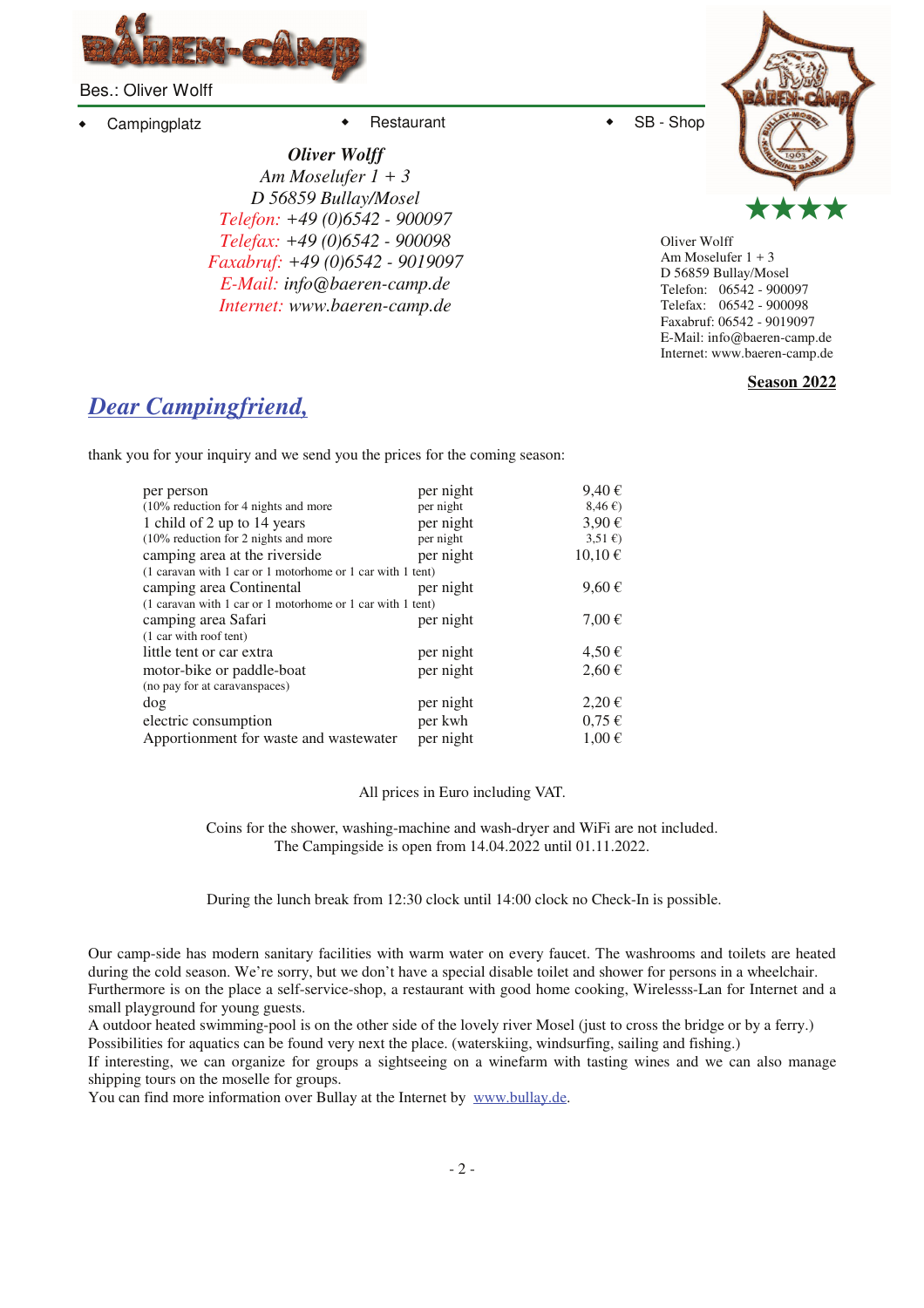

Bes.: Oliver Wolff

Campingplatz • Restaurant • SB - Shop

*Oliver Wolff Am Moselufer 1 + 3 D 56859 Bullay/Mosel Telefon: +49 (0)6542 - 900097 Telefax: +49 (0)6542 - 900098 Faxabruf: +49 (0)6542 - 9019097 E-Mail: info@baeren-camp.de Internet: www.baeren-camp.de*



Oliver Wolff Am Moselufer 1 + 3 D 56859 Bullay/Mosel Telefon: 06542 - 900097 Telefax: 06542 - 900098 Faxabruf: 06542 - 9019097 E-Mail: info@baeren-camp.de Internet: www.baeren-camp.de

**Season 2022**

## *Dear Campingfriend,*

thank you for your inquiry and we send you the prices for the coming season:

| per person                                                 | per night | $9,40 \in$             |
|------------------------------------------------------------|-----------|------------------------|
| $(10\%$ reduction for 4 nights and more                    | per night | 8,46€                  |
| 1 child of 2 up to 14 years                                | per night | $3,90 \in$             |
| $(10\%$ reduction for 2 nights and more                    | per night | $3,51 \in \mathcal{E}$ |
| camping area at the riverside                              | per night | $10,10 \notin$         |
| (1 caravan with 1 car or 1 motorhome or 1 car with 1 tent) |           |                        |
| camping area Continental                                   | per night | $9,60 \in$             |
| (1 caravan with 1 car or 1 motorhome or 1 car with 1 tent) |           |                        |
| camping area Safari                                        | per night | $7,00 \in$             |
| (1 car with roof tent)                                     |           |                        |
| little tent or car extra                                   | per night | $4,50 \in$             |
| motor-bike or paddle-boat                                  | per night | $2,60 \in$             |
| (no pay for at caravanspaces)                              |           |                        |
| dog                                                        | per night | $2,20 \in$             |
| electric consumption                                       | per kwh   | $0.75 \in$             |
| Apportionment for waste and wastewater                     | per night | $1,00 \in$             |
|                                                            |           |                        |

All prices in Euro including VAT.

Coins for the shower, washing-machine and wash-dryer and WiFi are not included. The Campingside is open from 14.04.2022 until 01.11.2022.

During the lunch break from 12:30 clock until 14:00 clock no Check-In is possible.

Our camp-side has modern sanitary facilities with warm water on every faucet. The washrooms and toilets are heated during the cold season. We're sorry, but we don't have a special disable toilet and shower for persons in a wheelchair. Furthermore is on the place a self-service-shop, a restaurant with good home cooking, Wirelesss-Lan for Internet and a small playground for young guests.

A outdoor heated swimming-pool is on the other side of the lovely river Mosel (just to cross the bridge or by a ferry.) Possibilities for aquatics can be found very next the place. (waterskiing, windsurfing, sailing and fishing.)

If interesting, we can organize for groups a sightseeing on a winefarm with tasting wines and we can also manage shipping tours on the moselle for groups.

You can find more information over Bullay at the Internet by www.bullay.de.